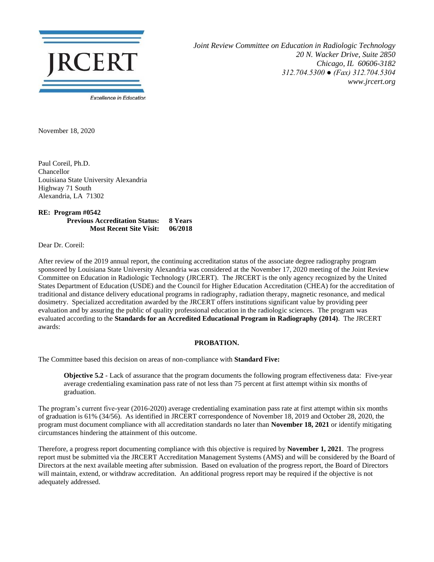

*Joint Review Committee on Education in Radiologic Technology 20 N. Wacker Drive, Suite 2850 Chicago, IL 60606-3182 312.704.5300 ● (Fax) 312.704.5304 www.jrcert.org*

November 18, 2020

Paul Coreil, Ph.D. Chancellor Louisiana State University Alexandria Highway 71 South Alexandria, LA 71302

**RE: Program #0542 Previous Accreditation Status: 8 Years Most Recent Site Visit: 06/2018**

Dear Dr. Coreil:

After review of the 2019 annual report, the continuing accreditation status of the associate degree radiography program sponsored by Louisiana State University Alexandria was considered at the November 17, 2020 meeting of the Joint Review Committee on Education in Radiologic Technology (JRCERT). The JRCERT is the only agency recognized by the United States Department of Education (USDE) and the Council for Higher Education Accreditation (CHEA) for the accreditation of traditional and distance delivery educational programs in radiography, radiation therapy, magnetic resonance, and medical dosimetry. Specialized accreditation awarded by the JRCERT offers institutions significant value by providing peer evaluation and by assuring the public of quality professional education in the radiologic sciences. The program was evaluated according to the **Standards for an Accredited Educational Program in Radiography (2014)**. The JRCERT awards:

## **PROBATION.**

The Committee based this decision on areas of non-compliance with **Standard Five:**

**Objective 5.2** - Lack of assurance that the program documents the following program effectiveness data: Five-year average credentialing examination pass rate of not less than 75 percent at first attempt within six months of graduation.

The program's current five-year (2016-2020) average credentialing examination pass rate at first attempt within six months of graduation is 61% (34/56). As identified in JRCERT correspondence of November 18, 2019 and October 28, 2020, the program must document compliance with all accreditation standards no later than **November 18, 2021** or identify mitigating circumstances hindering the attainment of this outcome.

Therefore, a progress report documenting compliance with this objective is required by **November 1, 2021**. The progress report must be submitted via the JRCERT Accreditation Management Systems (AMS) and will be considered by the Board of Directors at the next available meeting after submission. Based on evaluation of the progress report, the Board of Directors will maintain, extend, or withdraw accreditation. An additional progress report may be required if the objective is not adequately addressed.